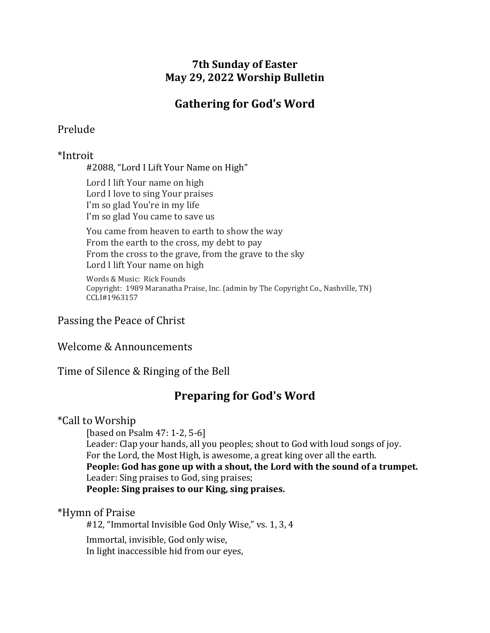## **7th Sunday of Easter May 29, 2022 Worship Bulletin**

# **Gathering for God**'**s Word**

### Prelude

### \*Introit

#2088, "Lord I Lift Your Name on High"

Lord I lift Your name on high Lord I love to sing Your praises I'm so glad You're in my life I'm so glad You came to save us

You came from heaven to earth to show the way From the earth to the cross, my debt to pay From the cross to the grave, from the grave to the sky Lord I lift Your name on high

Words & Music: Rick Founds Copyright: 1989 Maranatha Praise, Inc. (admin by The Copyright Co., Nashville, TN) CCLI#1963157

## Passing the Peace of Christ

## Welcome & Announcements

Time of Silence & Ringing of the Bell

# **Preparing for God's Word**

## \*Call to Worship

[based on Psalm 47: 1-2, 5-6] Leader: Clap your hands, all you peoples; shout to God with loud songs of joy. For the Lord, the Most High, is awesome, a great king over all the earth. **People: God has gone up with a shout, the Lord with the sound of a trumpet.** Leader: Sing praises to God, sing praises; **People: Sing praises to our King, sing praises.**

## \*Hymn of Praise

#12, "Immortal Invisible God Only Wise," vs. 1, 3, 4

Immortal, invisible, God only wise, In light inaccessible hid from our eyes,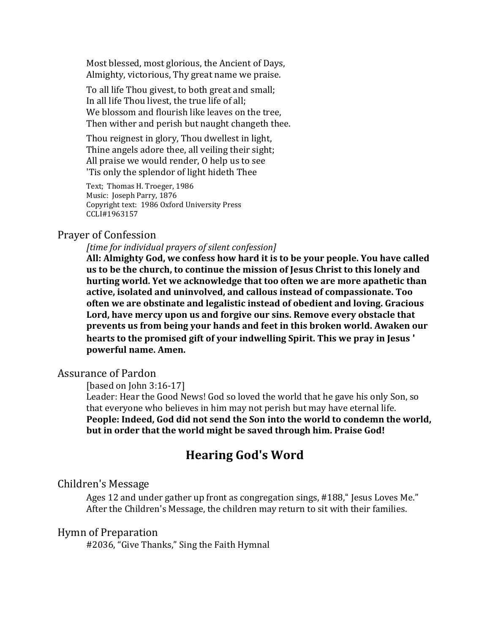Most blessed, most glorious, the Ancient of Days, Almighty, victorious, Thy great name we praise.

To all life Thou givest, to both great and small; In all life Thou livest, the true life of all; We blossom and flourish like leaves on the tree, Then wither and perish but naught changeth thee.

Thou reignest in glory, Thou dwellest in light, Thine angels adore thee, all veiling their sight; All praise we would render, O help us to see 'Tis only the splendor of light hideth Thee

Text; Thomas H. Troeger, 1986 Music: Joseph Parry, 1876 Copyright text: 1986 Oxford University Press CCLI#1963157

#### Prayer of Confession

*[time for individual prayers of silent confession]*

**All: Almighty God, we confess how hard it is to be your people. You have called us to be the church, to continue the mission of Jesus Christ to this lonely and hurting world. Yet we acknowledge that too often we are more apathetic than active, isolated and uninvolved, and callous instead of compassionate. Too often we are obstinate and legalistic instead of obedient and loving. Gracious Lord, have mercy upon us and forgive our sins. Remove every obstacle that prevents us from being your hands and feet in this broken world. Awaken our hearts to the promised gift of your indwelling Spirit. This we pray in Jesus** ' **powerful name. Amen.**

#### Assurance of Pardon

#### [based on John 3:16-17]

Leader: Hear the Good News! God so loved the world that he gave his only Son, so that everyone who believes in him may not perish but may have eternal life. **People: Indeed, God did not send the Son into the world to condemn the world, but in order that the world might be saved through him. Praise God!**

## **Hearing God's Word**

#### Children's Message

Ages 12 and under gather up front as congregation sings, #188," Jesus Loves Me." After the Children's Message, the children may return to sit with their families.

#### Hymn of Preparation

#2036, "Give Thanks," Sing the Faith Hymnal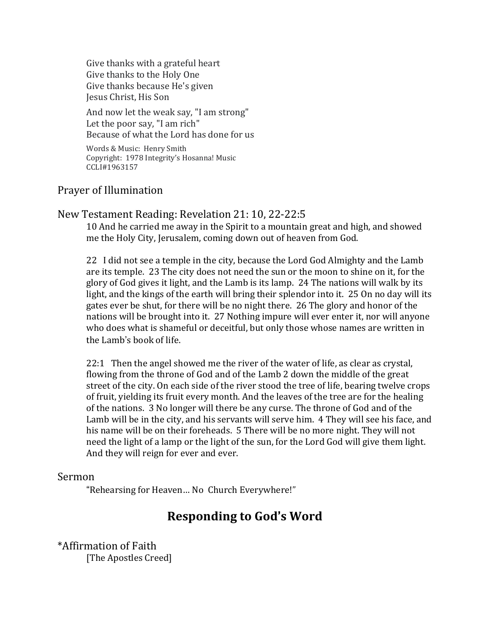Give thanks with a grateful heart Give thanks to the Holy One Give thanks because He's given Jesus Christ, His Son

And now let the weak say, "I am strong" Let the poor say, "I am rich" Because of what the Lord has done for us

Words & Music: Henry Smith Copyright: 1978 Integrity's Hosanna! Music CCLI#1963157

### Prayer of Illumination

### New Testament Reading: Revelation 21: 10, 22-22:5

10 And he carried me away in the Spirit to a mountain great and high, and showed me the Holy City, Jerusalem, coming down out of heaven from God.

22 I did not see a temple in the city, because the Lord God Almighty and the Lamb are its temple. 23 The city does not need the sun or the moon to shine on it, for the glory of God gives it light, and the Lamb is its lamp. 24 The nations will walk by its light, and the kings of the earth will bring their splendor into it. 25 On no day will its gates ever be shut, for there will be no night there. 26 The glory and honor of the nations will be brought into it. 27 Nothing impure will ever enter it, nor will anyone who does what is shameful or deceitful, but only those whose names are written in the Lamb's book of life.

22:1 Then the angel showed me the river of the water of life, as clear as crystal, flowing from the throne of God and of the Lamb 2 down the middle of the great street of the city. On each side of the river stood the tree of life, bearing twelve crops of fruit, yielding its fruit every month. And the leaves of the tree are for the healing of the nations. 3 No longer will there be any curse. The throne of God and of the Lamb will be in the city, and his servants will serve him. 4 They will see his face, and his name will be on their foreheads. 5 There will be no more night. They will not need the light of a lamp or the light of the sun, for the Lord God will give them light. And they will reign for ever and ever.

### Sermon

"Rehearsing for Heaven… No Church Everywhere!"

# **Responding to God**'**s Word**

\*Affirmation of Faith [The Apostles Creed]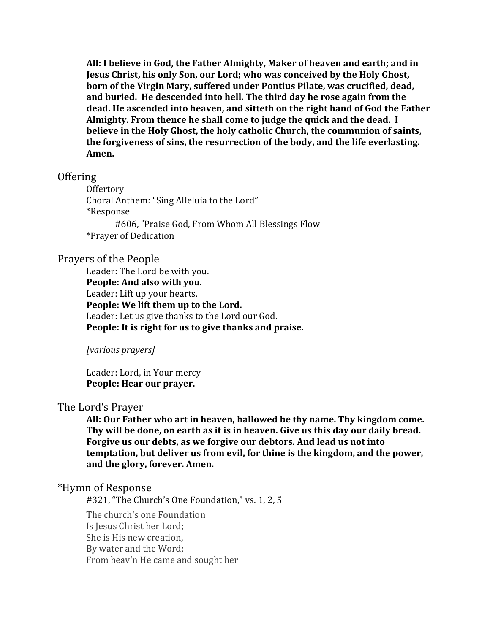**All: I believe in God, the Father Almighty, Maker of heaven and earth; and in Jesus Christ, his only Son, our Lord; who was conceived by the Holy Ghost, born of the Virgin Mary, suffered under Pontius Pilate, was crucified, dead, and buried. He descended into hell. The third day he rose again from the dead. He ascended into heaven, and sitteth on the right hand of God the Father Almighty. From thence he shall come to judge the quick and the dead. I believe in the Holy Ghost, the holy catholic Church, the communion of saints, the forgiveness of sins, the resurrection of the body, and the life everlasting. Amen.**

#### **Offering**

**Offertory** Choral Anthem: "Sing Alleluia to the Lord" \*Response #606, "Praise God, From Whom All Blessings Flow \*Prayer of Dedication

#### Prayers of the People

Leader: The Lord be with you. **People: And also with you.** Leader: Lift up your hearts. **People: We lift them up to the Lord.** Leader: Let us give thanks to the Lord our God. **People: It is right for us to give thanks and praise.**

*[various prayers]*

Leader: Lord, in Your mercy **People: Hear our prayer.**

#### The Lord's Prayer

**All: Our Father who art in heaven, hallowed be thy name. Thy kingdom come. Thy will be done, on earth as it is in heaven. Give us this day our daily bread. Forgive us our debts, as we forgive our debtors. And lead us not into temptation, but deliver us from evil, for thine is the kingdom, and the power, and the glory, forever. Amen.**

#### \*Hymn of Response

#321, "The Church's One Foundation," vs. 1, 2, 5

The church's one Foundation Is Jesus Christ her Lord; She is His new creation, By water and the Word; From heav'n He came and sought her